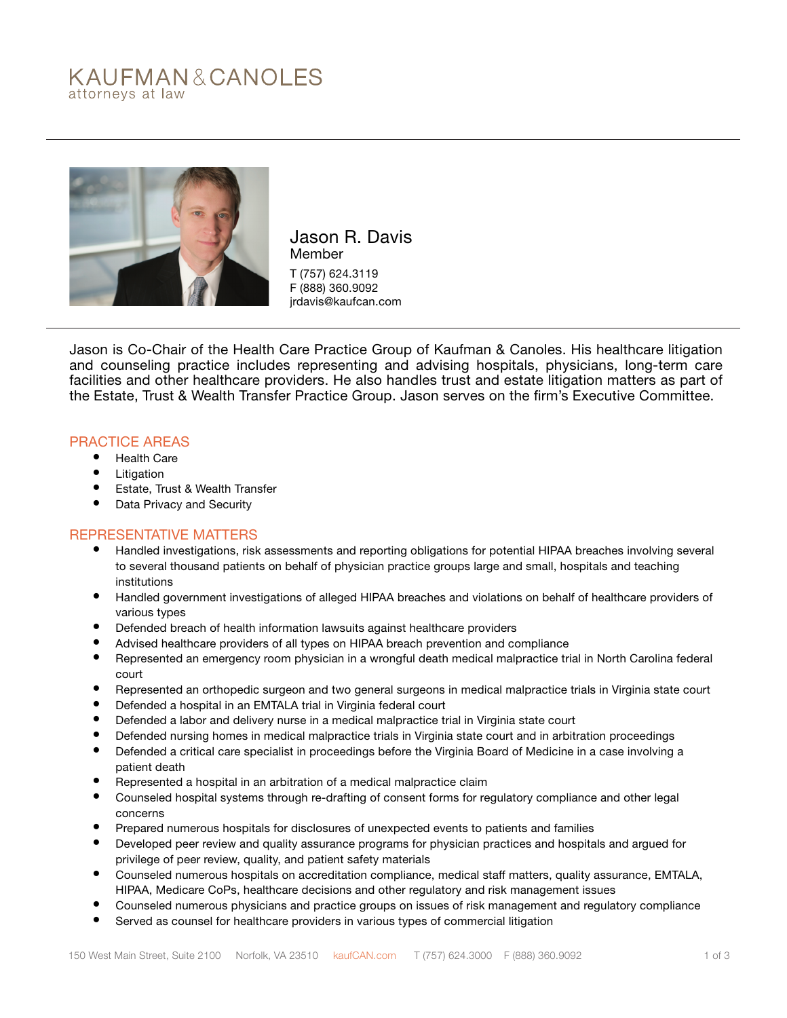# KAUFMAN&CANOLES attorneys at law



Jason R. Davis Member T (757) 624.3119 F (888) 360.9092 jrdavis@kaufcan.com

Jason is Co-Chair of the Health Care Practice Group of Kaufman & Canoles. His healthcare litigation and counseling practice includes representing and advising hospitals, physicians, long-term care facilities and other healthcare providers. He also handles trust and estate litigation matters as part of the Estate, Trust & Wealth Transfer Practice Group. Jason serves on the firm's Executive Committee.

### PRACTICE AREAS

- Health Care
- Litigation
- Estate, Trust & Wealth Transfer
- Data Privacy and Security

#### REPRESENTATIVE MATTERS

- Handled investigations, risk assessments and reporting obligations for potential HIPAA breaches involving several to several thousand patients on behalf of physician practice groups large and small, hospitals and teaching institutions
- Handled government investigations of alleged HIPAA breaches and violations on behalf of healthcare providers of various types
- Defended breach of health information lawsuits against healthcare providers
- Advised healthcare providers of all types on HIPAA breach prevention and compliance
- Represented an emergency room physician in a wrongful death medical malpractice trial in North Carolina federal court
- Represented an orthopedic surgeon and two general surgeons in medical malpractice trials in Virginia state court
- Defended a hospital in an EMTALA trial in Virginia federal court
- Defended a labor and delivery nurse in a medical malpractice trial in Virginia state court
- Defended nursing homes in medical malpractice trials in Virginia state court and in arbitration proceedings
- Defended a critical care specialist in proceedings before the Virginia Board of Medicine in a case involving a patient death
- Represented a hospital in an arbitration of a medical malpractice claim
- Counseled hospital systems through re-drafting of consent forms for regulatory compliance and other legal concerns
- Prepared numerous hospitals for disclosures of unexpected events to patients and families
- Developed peer review and quality assurance programs for physician practices and hospitals and argued for privilege of peer review, quality, and patient safety materials
- Counseled numerous hospitals on accreditation compliance, medical staff matters, quality assurance, EMTALA, HIPAA, Medicare CoPs, healthcare decisions and other regulatory and risk management issues
- Counseled numerous physicians and practice groups on issues of risk management and regulatory compliance
- Served as counsel for healthcare providers in various types of commercial litigation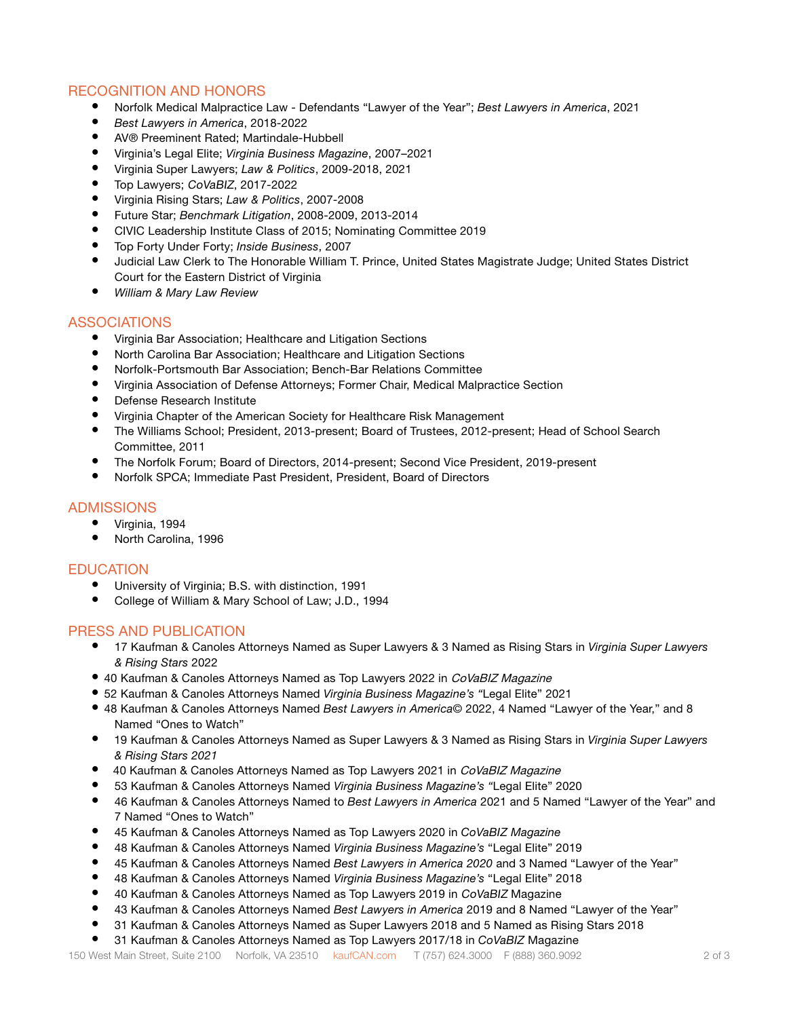## RECOGNITION AND HONORS

- Norfolk Medical Malpractice Law Defendants "Lawyer of the Year"; *Best Lawyers in America*, 2021
- *• Best Lawyers in America*, 2018-2022
- AV® Preeminent Rated; Martindale-Hubbell
- Virginia's Legal Elite; *Virginia Business Magazine*, 2007–2021
- Virginia Super Lawyers; *Law & Politics*, 2009-2018, 2021
- Top Lawyers; CoVaBIZ, 2017-2022
- Virginia Rising Stars; *Law & Politics*, 2007-2008
- Future Star; *Benchmark Litigation*, 2008-2009, 2013-2014
- CIVIC Leadership Institute Class of 2015; Nominating Committee 2019
- Top Forty Under Forty; *Inside Business*, 2007
- Judicial Law Clerk to The Honorable William T. Prince, United States Magistrate Judge; United States District Court for the Eastern District of Virginia
- *• William & Mary Law Review*

#### ASSOCIATIONS

- Virginia Bar Association; Healthcare and Litigation Sections
- North Carolina Bar Association; Healthcare and Litigation Sections
- Norfolk-Portsmouth Bar Association; Bench-Bar Relations Committee
- Virginia Association of Defense Attorneys; Former Chair, Medical Malpractice Section
- Defense Research Institute
- Virginia Chapter of the American Society for Healthcare Risk Management
- The Williams School; President, 2013-present; Board of Trustees, 2012-present; Head of School Search Committee, 2011
- The Norfolk Forum; Board of Directors, 2014-present; Second Vice President, 2019-present
- Norfolk SPCA; Immediate Past President, President, Board of Directors

#### **ADMISSIONS**

- Virginia, 1994
- North Carolina, 1996

#### EDUCATION

- University of Virginia; B.S. with distinction, 1991
- College of William & Mary School of Law; J.D., 1994

#### PRESS AND PUBLICATION

- 17 Kaufman & Canoles Attorneys Named as Super Lawyers & 3 Named as Rising Stars in *Virginia Super Lawyers & Rising Stars* 2022
- 40 Kaufman & Canoles Attorneys Named as Top Lawyers 2022 in CoVaBIZ Magazine
- 52 Kaufman & Canoles Attorneys Named *Virginia Business Magazine's "*Legal Elite" 2021
- 48 Kaufman & Canoles Attorneys Named *Best Lawyers in America*© 2022, 4 Named "Lawyer of the Year," and 8 Named "Ones to Watch"
- 19 Kaufman & Canoles Attorneys Named as Super Lawyers & 3 Named as Rising Stars in *Virginia Super Lawyers & Rising Stars 2021*
- *•* 40 Kaufman & Canoles Attorneys Named as Top Lawyers 2021 in CoVaBIZ Magazine
- 53 Kaufman & Canoles Attorneys Named *Virginia Business Magazine's "*Legal Elite" 2020
- 46 Kaufman & Canoles Attorneys Named to *Best Lawyers in America* 2021 and 5 Named "Lawyer of the Year" and 7 Named "Ones to Watch"
- 45 Kaufman & Canoles Attorneys Named as Top Lawyers 2020 in *CoVaBIZ Magazine*
- 48 Kaufman & Canoles Attorneys Named *Virginia Business Magazine's* "Legal Elite" 2019
- 45 Kaufman & Canoles Attorneys Named *Best Lawyers in America 2020* and 3 Named "Lawyer of the Year"
- 48 Kaufman & Canoles Attorneys Named *Virginia Business Magazine's* "Legal Elite" 2018
- 40 Kaufman & Canoles Attorneys Named as Top Lawyers 2019 in CoVaBIZ Magazine
- 43 Kaufman & Canoles Attorneys Named *Best Lawyers in America* 2019 and 8 Named "Lawyer of the Year"
- 31 Kaufman & Canoles Attorneys Named as Super Lawyers 2018 and 5 Named as Rising Stars 2018
- 31 Kaufman & Canoles Attorneys Named as Top Lawyers 2017/18 in *CoVaBIZ* Magazine